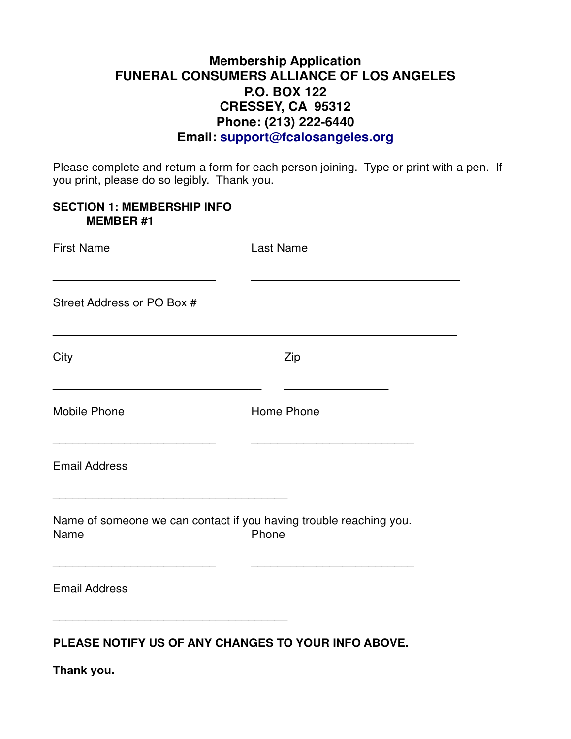# **Membership Application FUNERAL CONSUMERS ALLIANCE OF LOS ANGELES P.O. BOX 122 CRESSEY, CA 95312 Phone: (213) 222-6440 Email: support@fcalosangeles.org**

Please complete and return a form for each person joining. Type or print with a pen. If you print, please do so legibly. Thank you.

| <b>SECTION 1: MEMBERSHIP INFO</b><br><b>MEMBER#1</b>                       |                  |
|----------------------------------------------------------------------------|------------------|
| <b>First Name</b>                                                          | <b>Last Name</b> |
| Street Address or PO Box #                                                 |                  |
| City                                                                       | Zip              |
| <b>Mobile Phone</b>                                                        | Home Phone       |
| <b>Email Address</b>                                                       |                  |
| Name of someone we can contact if you having trouble reaching you.<br>Name | Phone            |
| <b>Email Address</b>                                                       |                  |
|                                                                            |                  |

**PLEASE NOTIFY US OF ANY CHANGES TO YOUR INFO ABOVE.**

**Thank you.**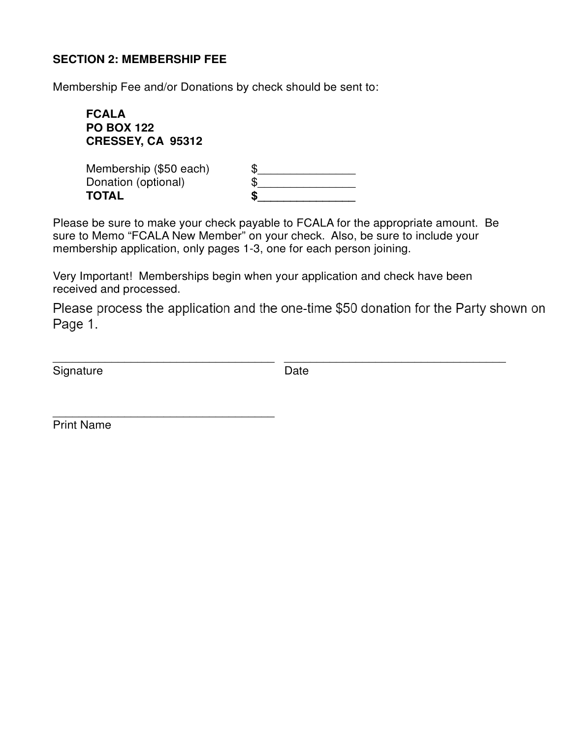#### **SECTION 2: MEMBERSHIP FEE**

Membership Fee and/or Donations by check should be sent to:

**FCALA PO BOX 122 CRESSEY, CA 95312** Membership (\$50 each)

Donation (optional) **TOTAL** 

\_\_\_\_\_\_\_\_\_\_\_\_\_\_\_\_\_\_\_\_\_\_\_\_\_\_\_\_\_\_\_\_\_\_

| \$ |  |
|----|--|
| \$ |  |
| S  |  |

Please be sure to make your check payable to FCALA for the appropriate amount. Be sure to Memo "FCALA New Member" on your check. Also, be sure to include your membership application, only pages 1-3, one for each person joining.

Very Important! Memberships begin when your application and check have been received and processed.

Please process the application and the one-time \$50 donation for the Party shown on Page 1.

Signature Date

\_\_\_\_\_\_\_\_\_\_\_\_\_\_\_\_\_\_\_\_\_\_\_\_\_\_\_\_\_\_\_\_\_\_ \_\_\_\_\_\_\_\_\_\_\_\_\_\_\_\_\_\_\_\_\_\_\_\_\_\_\_\_\_\_\_\_\_\_

Print Name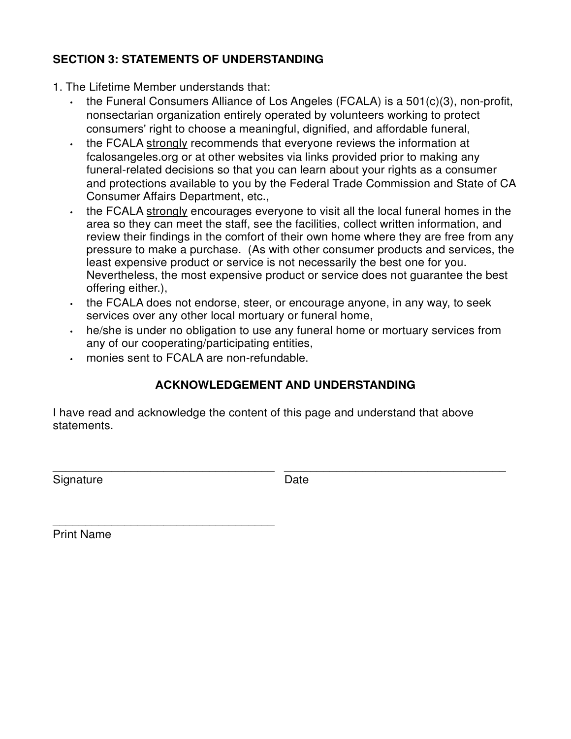## **SECTION 3: STATEMENTS OF UNDERSTANDING**

- 1. The Lifetime Member understands that:
	- the Funeral Consumers Alliance of Los Angeles (FCALA) is a 501(c)(3), non-profit, nonsectarian organization entirely operated by volunteers working to protect consumers' right to choose a meaningful, dignified, and affordable funeral,
	- the FCALA strongly recommends that everyone reviews the information at fcalosangeles.org or at other websites via links provided prior to making any funeral-related decisions so that you can learn about your rights as a consumer and protections available to you by the Federal Trade Commission and State of CA Consumer Affairs Department, etc.,
	- the FCALA strongly encourages everyone to visit all the local funeral homes in the area so they can meet the staff, see the facilities, collect written information, and review their findings in the comfort of their own home where they are free from any pressure to make a purchase. (As with other consumer products and services, the least expensive product or service is not necessarily the best one for you. Nevertheless, the most expensive product or service does not guarantee the best offering either.),
	- the FCALA does not endorse, steer, or encourage anyone, in any way, to seek services over any other local mortuary or funeral home,
	- he/she is under no obligation to use any funeral home or mortuary services from any of our cooperating/participating entities,
	- monies sent to FCALA are non-refundable.

\_\_\_\_\_\_\_\_\_\_\_\_\_\_\_\_\_\_\_\_\_\_\_\_\_\_\_\_\_\_\_\_\_\_

# **ACKNOWLEDGEMENT AND UNDERSTANDING**

I have read and acknowledge the content of this page and understand that above statements.

Signature Date

\_\_\_\_\_\_\_\_\_\_\_\_\_\_\_\_\_\_\_\_\_\_\_\_\_\_\_\_\_\_\_\_\_\_ \_\_\_\_\_\_\_\_\_\_\_\_\_\_\_\_\_\_\_\_\_\_\_\_\_\_\_\_\_\_\_\_\_\_

Print Name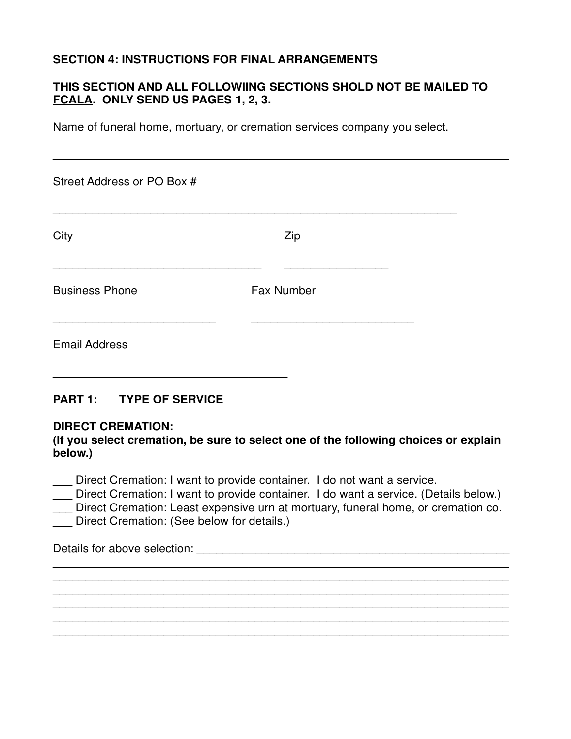## **SECTION 4: INSTRUCTIONS FOR FINAL ARRANGEMENTS**

## **THIS SECTION AND ALL FOLLOWIING SECTIONS SHOLD NOT BE MAILED TO FCALA. ONLY SEND US PAGES 1, 2, 3.**

Name of funeral home, mortuary, or cremation services company you select.

| Street Address or PO Box # |                   |  |
|----------------------------|-------------------|--|
| City                       | Zip               |  |
| <b>Business Phone</b>      | <b>Fax Number</b> |  |
| <b>Email Address</b>       |                   |  |

## **PART 1: TYPE OF SERVICE**

#### **DIRECT CREMATION:**

**(If you select cremation, be sure to select one of the following choices or explain below.)**

\_\_\_ Direct Cremation: I want to provide container. I do not want a service.

\_\_\_ Direct Cremation: I want to provide container. I do want a service. (Details below.)

Direct Cremation: Least expensive urn at mortuary, funeral home, or cremation co.

 $\overline{\phantom{a}}$  , and the contribution of the contribution of the contribution of the contribution of the contribution of the contribution of the contribution of the contribution of the contribution of the contribution of the  $\overline{a}$  , and the contribution of the contribution of the contribution of the contribution of the contribution of  $\overline{a}$  $\overline{a}$  , and the contribution of the contribution of the contribution of the contribution of the contribution of  $\overline{a}$  $\overline{a}$  , and the contribution of the contribution of the contribution of the contribution of the contribution of  $\overline{a}$  $\overline{a}$  , and the contribution of the contribution of the contribution of the contribution of the contribution of  $\overline{a}$  $\overline{a}$  , and the contribution of the contribution of the contribution of the contribution of the contribution of  $\overline{a}$ 

Direct Cremation: (See below for details.)

\_\_\_\_\_\_\_\_\_\_\_\_\_\_\_\_\_\_\_\_\_\_\_\_\_\_\_\_\_\_\_\_\_\_\_\_

Details for above selection: \_\_\_\_\_\_\_\_\_\_\_\_\_\_\_\_\_\_\_\_\_\_\_\_\_\_\_\_\_\_\_\_\_\_\_\_\_\_\_\_\_\_\_\_\_\_\_\_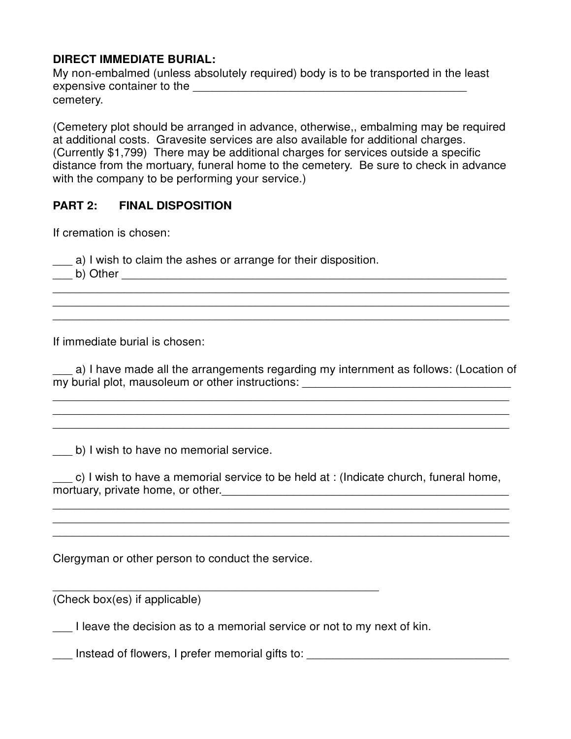### **DIRECT IMMEDIATE BURIAL:**

My non-embalmed (unless absolutely required) body is to be transported in the least expensive container to the \_\_\_\_\_\_\_\_\_\_\_\_\_\_\_\_\_\_\_\_\_\_\_\_\_\_\_\_\_\_\_\_\_\_\_\_\_\_\_\_\_\_ cemetery.

(Cemetery plot should be arranged in advance, otherwise,, embalming may be required at additional costs. Gravesite services are also available for additional charges. (Currently \$1,799) There may be additional charges for services outside a specific distance from the mortuary, funeral home to the cemetery. Be sure to check in advance with the company to be performing your service.)

## **PART 2: FINAL DISPOSITION**

If cremation is chosen:

\_\_\_ a) I wish to claim the ashes or arrange for their disposition.

\_\_\_ b) Other \_\_\_\_\_\_\_\_\_\_\_\_\_\_\_\_\_\_\_\_\_\_\_\_\_\_\_\_\_\_\_\_\_\_\_\_\_\_\_\_\_\_\_\_\_\_\_\_\_\_\_\_\_\_\_\_\_\_\_

If immediate burial is chosen:

a) I have made all the arrangements regarding my internment as follows: (Location of my burial plot, mausoleum or other instructions: \_\_\_\_\_\_\_\_\_\_\_\_\_\_\_\_\_\_\_\_\_\_\_\_\_\_\_\_\_\_\_\_

 $\overline{\phantom{a}}$  , and the contribution of the contribution of the contribution of the contribution of the contribution of the contribution of the contribution of the contribution of the contribution of the contribution of the  $\overline{\phantom{a}}$  , and the contribution of the contribution of the contribution of the contribution of the contribution of the contribution of the contribution of the contribution of the contribution of the contribution of the  $\overline{\phantom{a}}$  , and the contribution of the contribution of the contribution of the contribution of the contribution of the contribution of the contribution of the contribution of the contribution of the contribution of the

 $\overline{a}$  , and the contribution of the contribution of the contribution of the contribution of the contribution of  $\overline{a}$  $\overline{a}$  , and the contribution of the contribution of the contribution of the contribution of the contribution of  $\overline{a}$  $\overline{a}$  , and the contribution of the contribution of the contribution of the contribution of the contribution of  $\overline{a}$ 

b) I wish to have no memorial service.

\_\_\_ c) I wish to have a memorial service to be held at : (Indicate church, funeral home, mortuary, private home, or other.\_\_\_\_\_\_\_\_\_\_\_\_\_\_\_\_\_\_\_\_\_\_\_\_\_\_\_\_\_\_\_\_\_\_\_\_\_\_\_\_\_\_\_\_

 $\overline{a}$  , and the contribution of the contribution of the contribution of the contribution of the contribution of  $\overline{a}$  $\overline{\phantom{a}}$  , and the contribution of the contribution of the contribution of the contribution of the contribution of the contribution of the contribution of the contribution of the contribution of the contribution of the \_\_\_\_\_\_\_\_\_\_\_\_\_\_\_\_\_\_\_\_\_\_\_\_\_\_\_\_\_\_\_\_\_\_\_\_\_\_\_\_\_\_\_\_\_\_\_\_\_\_\_\_\_\_\_\_\_\_\_\_\_\_\_\_\_\_\_\_\_\_

Clergyman or other person to conduct the service.

(Check box(es) if applicable)

I leave the decision as to a memorial service or not to my next of kin.

\_\_\_\_\_\_\_\_\_\_\_\_\_\_\_\_\_\_\_\_\_\_\_\_\_\_\_\_\_\_\_\_\_\_\_\_\_\_\_\_\_\_\_\_\_\_\_\_\_\_

\_\_\_ Instead of flowers, I prefer memorial gifts to: \_\_\_\_\_\_\_\_\_\_\_\_\_\_\_\_\_\_\_\_\_\_\_\_\_\_\_\_\_